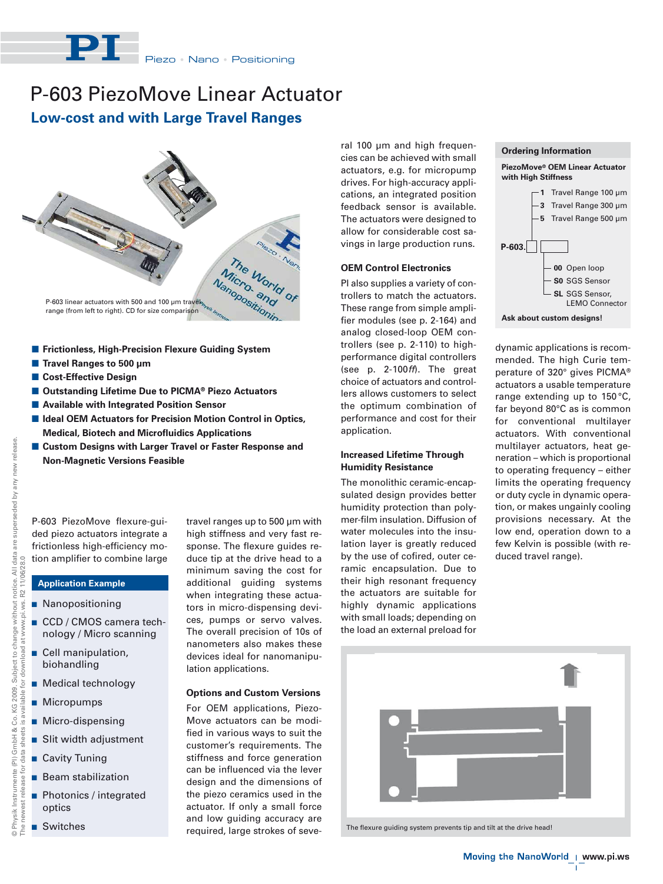Piezo • Nano • Positioning

# P-603 PiezoMove Linear Actuator

**Low-cost and with Large Travel Ranges**



- **E** Frictionless, High-Precision Flexure Guiding System
- **Travel Ranges to 500 μm**
- **E** Cost-Effective Design
- Outstanding Lifetime Due to PICMA<sup>®</sup> Piezo Actuators
- **E** Available with Integrated Position Sensor
- Ideal OEM Actuators for Precision Motion Control in Optics, **Medical, Biotech and Microfluidics Applications**
- **E** Custom Designs with Larger Travel or Faster Response and **Non-Magnetic Versions Feasible**

P-603 PiezoMove flexure-guided piezo actuators integrate a frictionless high-efficiency motion amplifier to combine large

## **Application Example**

- **Nanopositioning**
- CCD / CMOS camera technology / Micro scanning
- **Cell manipulation,** biohandling
- **Nedical technology**
- **Micropumps**
- **Micro-dispensing**
- **But Slit width adjustment**
- Cavity Tuning
- Beam stabilization
- **Photonics / integrated** optics
- Switches

travel ranges up to 500 μm with high stiffness and very fast response. The flexure guides reduce tip at the drive head to a minimum saving the cost for additional guiding systems when integrating these actuators in micro-dispensing devices, pumps or servo valves. The overall precision of 10s of nanometers also makes these devices ideal for nanomanipulation applications.

#### **Options and Custom Versions**

For OEM applications, Piezo-Move actuators can be modified in various ways to suit the customer's requirements. The stiffness and force generation can be influenced via the lever design and the dimensions of the piezo ceramics used in the actuator. If only a small force and low guiding accuracy are required, large strokes of several 100 μm and high frequencies can be achieved with small actuators, e.g. for micropump drives. For high-accuracy applications, an integrated position feedback sensor is available. The actuators were designed to allow for considerable cost savings in large production runs.

#### **OEM Control Electronics**

PI also supplies a variety of controllers to match the actuators. These range from simple amplifier modules (see p. 2-164) and analog closed-loop OEM controllers (see p. 2-110) to highperformance digital controllers (see p. 2-100ff). The great choice of actuators and controllers allows customers to select the optimum combination of performance and cost for their application.

#### **Increased Lifetime Through Humidity Resistance**

The monolithic ceramic-encapsulated design provides better humidity protection than polymer-film insulation. Diffusion of water molecules into the insulation layer is greatly reduced by the use of cofired, outer ceramic encapsulation. Due to their high resonant frequency the actuators are suitable for highly dynamic applications with small loads; depending on the load an external preload for



**Ask about custom designs!**

dynamic applications is recommended. The high Curie temperature of 320° gives PICMA® actuators a usable temperature range extending up to 150 °C, far beyond 80°C as is common for conventional multilayer actuators. With conventional multilayer actuators, heat generation – which is proportional to operating frequency – either limits the operating frequency or duty cycle in dynamic operation, or makes ungainly cooling provisions necessary. At the low end, operation down to a few Kelvin is possible (with reduced travel range).



The flexure guiding system prevents tip and tilt at the drive head!